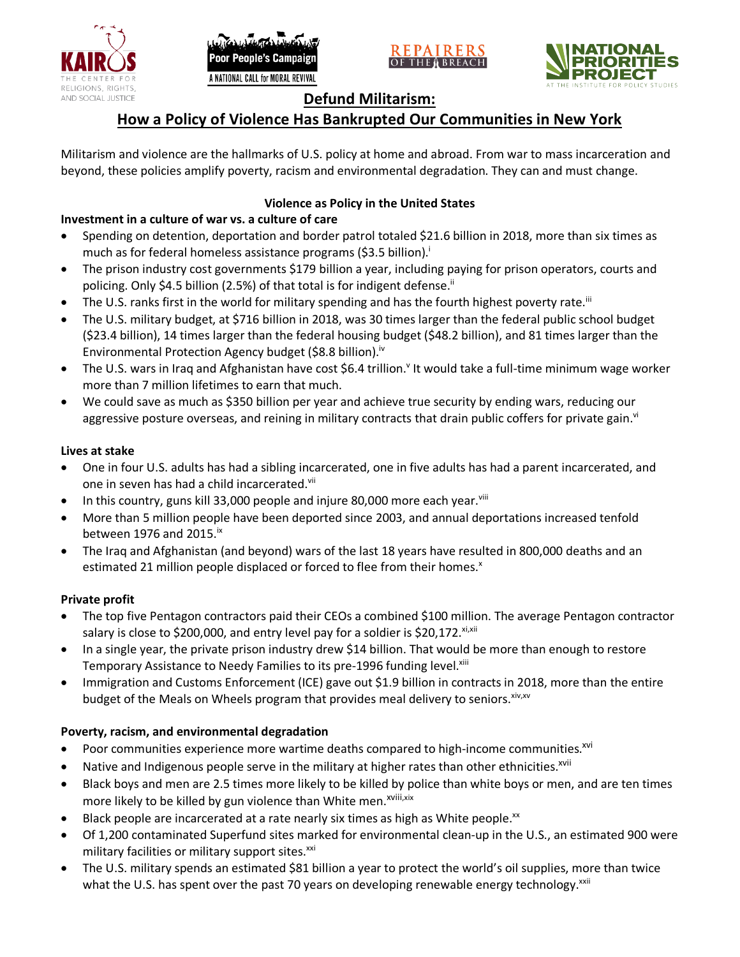





# **Defund Militarism:**

# **How a Policy of Violence Has Bankrupted Our Communities in New York**

Militarism and violence are the hallmarks of U.S. policy at home and abroad. From war to mass incarceration and beyond, these policies amplify poverty, racism and environmental degradation. They can and must change.

## **Violence as Policy in the United States**

# **Investment in a culture of war vs. a culture of care**

- Spending on detention, deportation and border patrol totaled \$21.6 billion in 2018, more than six times as much as for federal homeless assistance programs (\$3.5 billion).<sup>i</sup>
- The prison industry cost governments \$179 billion a year, including paying for prison operators, courts and policing. Only \$4.5 billion (2.5%) of that total is for indigent defense.<sup>ii</sup>
- The U.S. ranks first in the world for military spending and has the fourth highest poverty rate.<sup>iii</sup>
- The U.S. military budget, at \$716 billion in 2018, was 30 times larger than the federal public school budget (\$23.4 billion), 14 times larger than the federal housing budget (\$48.2 billion), and 81 times larger than the Environmental Protection Agency budget (\$8.8 billion).<sup>iv</sup>
- The U.S. wars in Iraq and Afghanistan have cost \$6.4 trillion.<sup>v</sup> It would take a full-time minimum wage worker more than 7 million lifetimes to earn that much.
- We could save as much as \$350 billion per year and achieve true security by ending wars, reducing our aggressive posture overseas, and reining in military contracts that drain public coffers for private gain.<sup>vi</sup>

### **Lives at stake**

- One in four U.S. adults has had a sibling incarcerated, one in five adults has had a parent incarcerated, and one in seven has had a child incarcerated.vii
- In this country, guns kill 33,000 people and injure 80,000 more each year. $v_{\text{lin}}$
- More than 5 million people have been deported since 2003, and annual deportations increased tenfold between 1976 and 2015. $\mathrm{i}$ <sup>x</sup>
- The Iraq and Afghanistan (and beyond) wars of the last 18 years have resulted in 800,000 deaths and an estimated 21 million people displaced or forced to flee from their homes.<sup>x</sup>

#### **Private profit**

- The top five Pentagon contractors paid their CEOs a combined \$100 million. The average Pentagon contractor salary is close to \$200,000, and entry level pay for a soldier is \$20,172. xi,xii
- In a single year, the private prison industry drew \$14 billion. That would be more than enough to restore Temporary Assistance to Needy Families to its pre-1996 funding level.<sup>xiii</sup>
- Immigration and Customs Enforcement (ICE) gave out \$1.9 billion in contracts in 2018, more than the entire budget of the Meals on Wheels program that provides meal delivery to seniors. Xiv, XV

## **Poverty, racism, and environmental degradation**

- Poor communities experience more wartime deaths compared to high-income communities.<sup>xvi</sup>
- Native and Indigenous people serve in the military at higher rates than other ethnicities.<sup>xvii</sup>
- Black boys and men are 2.5 times more likely to be killed by police than white boys or men, and are ten times more likely to be killed by gun violence than White men.<sup>xviii,xix</sup>
- Black people are incarcerated at a rate nearly six times as high as White people.<sup>xx</sup>
- Of 1,200 contaminated Superfund sites marked for environmental clean-up in the U.S., an estimated 900 were military facilities or military support sites.<sup>xxi</sup>
- The U.S. military spends an estimated \$81 billion a year to protect the world's oil supplies, more than twice what the U.S. has spent over the past 70 years on developing renewable energy technology.<sup>xxii</sup>